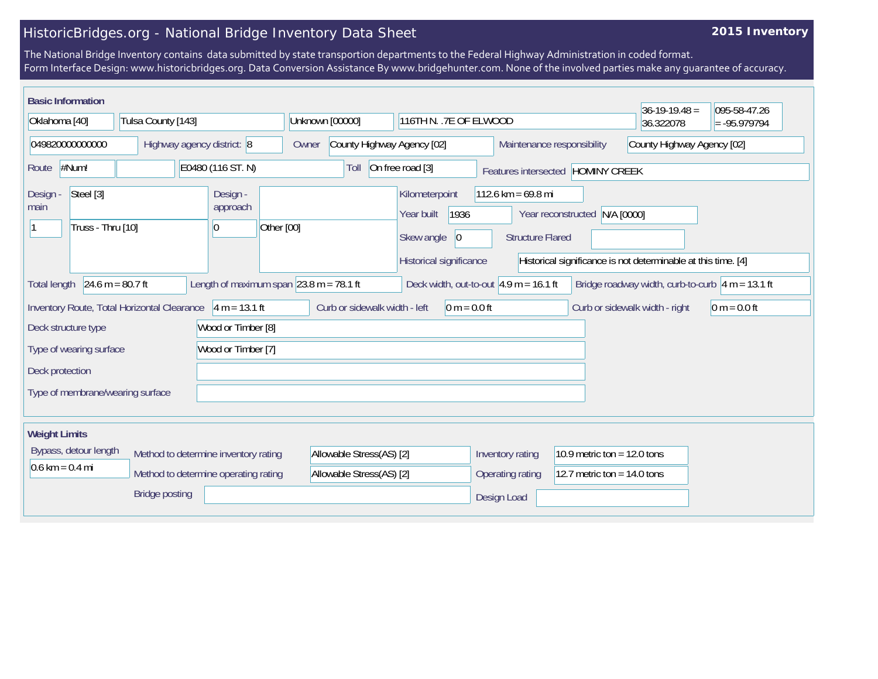## HistoricBridges.org - National Bridge Inventory Data Sheet

## **2015 Inventory**

The National Bridge Inventory contains data submitted by state transportion departments to the Federal Highway Administration in coded format. Form Interface Design: www.historicbridges.org. Data Conversion Assistance By www.bridgehunter.com. None of the involved parties make any guarantee of accuracy.

| <b>Basic Information</b>                                                                                                                                                                  |                                             |                                                      |                                            |                                                                   |                                                                 |                                                          | $36-19-19.48 =$                                               | 095-58-47.26   |
|-------------------------------------------------------------------------------------------------------------------------------------------------------------------------------------------|---------------------------------------------|------------------------------------------------------|--------------------------------------------|-------------------------------------------------------------------|-----------------------------------------------------------------|----------------------------------------------------------|---------------------------------------------------------------|----------------|
| Tulsa County [143]<br>Oklahoma [40]                                                                                                                                                       |                                             |                                                      | Unknown [00000]<br>116TH N. . 7E OF ELWOOD |                                                                   |                                                                 |                                                          | 36.322078                                                     | $= -95.979794$ |
| 049820000000000<br>Highway agency district: 8                                                                                                                                             |                                             |                                                      | County Highway Agency [02]<br>Owner        |                                                                   |                                                                 | County Highway Agency [02]<br>Maintenance responsibility |                                                               |                |
| #Num!<br>Route                                                                                                                                                                            |                                             | E0480 (116 ST. N)                                    | Toll                                       | On free road [3]                                                  |                                                                 | Features intersected HOMINY CREEK                        |                                                               |                |
| Steel [3]<br>Design<br>main<br>Truss - Thru [10]                                                                                                                                          |                                             | Design -<br>approach<br>Other [00]<br>$\overline{0}$ |                                            | Kilometerpoint<br>1936<br>Year built<br>Skew angle<br>$ 0\rangle$ | $112.6 \text{ km} = 69.8 \text{ mi}$<br><b>Structure Flared</b> | Year reconstructed N/A [0000]                            |                                                               |                |
|                                                                                                                                                                                           |                                             |                                                      |                                            | Historical significance                                           |                                                                 |                                                          | Historical significance is not determinable at this time. [4] |                |
| Length of maximum span $\sqrt{23.8}$ m = 78.1 ft<br>24.6 m = $80.7$ ft<br>Deck width, out-to-out $4.9$ m = 16.1 ft<br>Bridge roadway width, curb-to-curb $ 4 m = 13.1 ft$<br>Total length |                                             |                                                      |                                            |                                                                   |                                                                 |                                                          |                                                               |                |
|                                                                                                                                                                                           | Inventory Route, Total Horizontal Clearance | $4 m = 13.1 ft$                                      | Curb or sidewalk width - left              | $0 m = 0.0 ft$                                                    |                                                                 |                                                          | Curb or sidewalk width - right                                | $0 m = 0.0 ft$ |
| Deck structure type                                                                                                                                                                       |                                             | Wood or Timber [8]                                   |                                            |                                                                   |                                                                 |                                                          |                                                               |                |
| Type of wearing surface<br>Wood or Timber [7]                                                                                                                                             |                                             |                                                      |                                            |                                                                   |                                                                 |                                                          |                                                               |                |
| Deck protection                                                                                                                                                                           |                                             |                                                      |                                            |                                                                   |                                                                 |                                                          |                                                               |                |
| Type of membrane/wearing surface                                                                                                                                                          |                                             |                                                      |                                            |                                                                   |                                                                 |                                                          |                                                               |                |
|                                                                                                                                                                                           |                                             |                                                      |                                            |                                                                   |                                                                 |                                                          |                                                               |                |
| <b>Weight Limits</b>                                                                                                                                                                      |                                             |                                                      |                                            |                                                                   |                                                                 |                                                          |                                                               |                |
| Bypass, detour length                                                                                                                                                                     | Method to determine inventory rating        |                                                      | Allowable Stress(AS) [2]                   |                                                                   | Inventory rating                                                | 10.9 metric ton = $12.0$ tons                            |                                                               |                |
| $0.6 \text{ km} = 0.4 \text{ mi}$                                                                                                                                                         |                                             | Method to determine operating rating                 | Allowable Stress(AS) [2]                   |                                                                   | Operating rating                                                | 12.7 metric ton = $14.0$ tons                            |                                                               |                |
|                                                                                                                                                                                           | <b>Bridge posting</b>                       |                                                      |                                            |                                                                   | Design Load                                                     |                                                          |                                                               |                |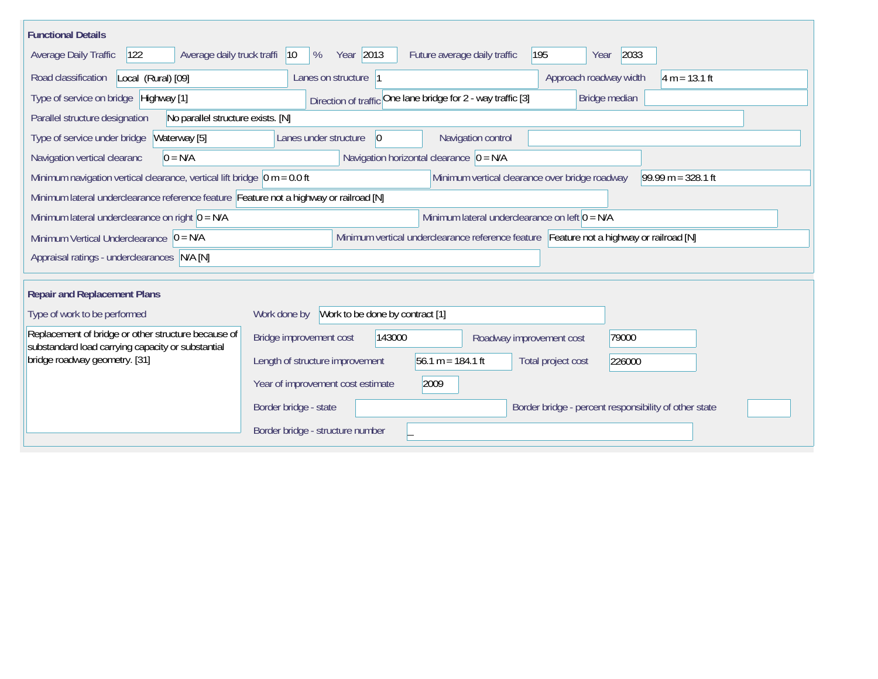| <b>Functional Details</b>                                                                                                                                  |                                                                                       |  |  |  |  |  |  |  |  |
|------------------------------------------------------------------------------------------------------------------------------------------------------------|---------------------------------------------------------------------------------------|--|--|--|--|--|--|--|--|
| Average daily truck traffi<br>Average Daily Traffic<br>122                                                                                                 | Year 2013<br>195<br>2033<br>$ 10\rangle$<br>%<br>Future average daily traffic<br>Year |  |  |  |  |  |  |  |  |
| Road classification<br>Local (Rural) [09]                                                                                                                  | $4 m = 13.1 ft$<br>Lanes on structure  1<br>Approach roadway width                    |  |  |  |  |  |  |  |  |
| Type of service on bridge Highway [1]                                                                                                                      | Direction of traffic One lane bridge for 2 - way traffic [3]<br>Bridge median         |  |  |  |  |  |  |  |  |
| Parallel structure designation<br>No parallel structure exists. [N]                                                                                        |                                                                                       |  |  |  |  |  |  |  |  |
| Type of service under bridge<br>Waterway [5]                                                                                                               | Navigation control<br>$ 0\rangle$<br>Lanes under structure                            |  |  |  |  |  |  |  |  |
| Navigation horizontal clearance $\overline{0}$ = N/A<br>$0 = N/A$<br>Navigation vertical clearanc                                                          |                                                                                       |  |  |  |  |  |  |  |  |
| $99.99 m = 328.1 ft$<br>Minimum navigation vertical clearance, vertical lift bridge $\vert$ 0 m = 0.0 ft<br>Minimum vertical clearance over bridge roadway |                                                                                       |  |  |  |  |  |  |  |  |
| Minimum lateral underclearance reference feature Feature not a highway or railroad [N]                                                                     |                                                                                       |  |  |  |  |  |  |  |  |
| Minimum lateral underclearance on left $0 = N/A$<br>Minimum lateral underclearance on right $0 = N/A$                                                      |                                                                                       |  |  |  |  |  |  |  |  |
| Minimum vertical underclearance reference feature Feature not a highway or railroad [N]<br>Minimum Vertical Underclearance $ 0 = N/A$                      |                                                                                       |  |  |  |  |  |  |  |  |
| Appraisal ratings - underclearances N/A [N]                                                                                                                |                                                                                       |  |  |  |  |  |  |  |  |
|                                                                                                                                                            |                                                                                       |  |  |  |  |  |  |  |  |
| <b>Repair and Replacement Plans</b>                                                                                                                        |                                                                                       |  |  |  |  |  |  |  |  |
| Type of work to be performed                                                                                                                               | Work to be done by contract [1]<br>Work done by                                       |  |  |  |  |  |  |  |  |
| Replacement of bridge or other structure because of<br>substandard load carrying capacity or substantial                                                   | Bridge improvement cost<br>143000<br>79000<br>Roadway improvement cost                |  |  |  |  |  |  |  |  |
| bridge roadway geometry. [31]                                                                                                                              | 56.1 m = 184.1 ft<br>Length of structure improvement<br>Total project cost<br>226000  |  |  |  |  |  |  |  |  |
|                                                                                                                                                            | 2009<br>Year of improvement cost estimate                                             |  |  |  |  |  |  |  |  |
|                                                                                                                                                            | Border bridge - state<br>Border bridge - percent responsibility of other state        |  |  |  |  |  |  |  |  |
|                                                                                                                                                            | Border bridge - structure number                                                      |  |  |  |  |  |  |  |  |